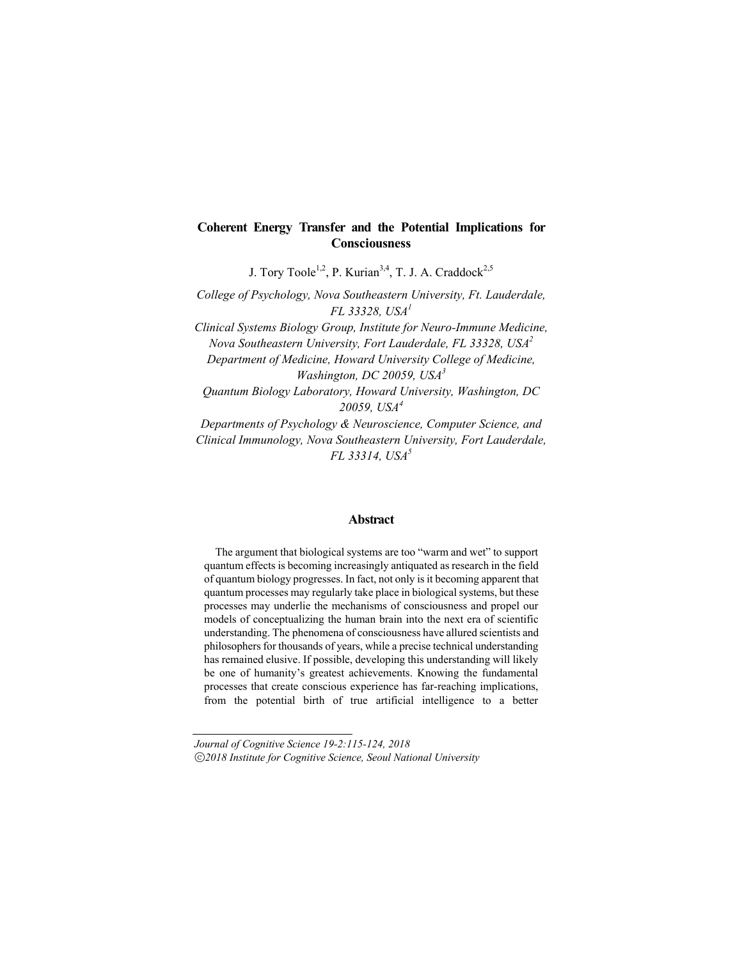J. Tory Toole<sup>1,2</sup>, P. Kurian<sup>3,4</sup>, T. J. A. Craddock<sup>2,5</sup>

*College of Psychology, Nova Southeastern University, Ft. Lauderdale, FL 33328, USA<sup>1</sup>*

*Clinical Systems Biology Group, Institute for Neuro-Immune Medicine, Nova Southeastern University, Fort Lauderdale, FL 33328, USA2 Department of Medicine, Howard University College of Medicine, Washington, DC 20059, USA<sup>3</sup>*

*Quantum Biology Laboratory, Howard University, Washington, DC 20059, USA<sup>4</sup>*

*Departments of Psychology & Neuroscience, Computer Science, and Clinical Immunology, Nova Southeastern University, Fort Lauderdale, FL 33314, USA<sup>5</sup>*

### **Abstract**

The argument that biological systems are too "warm and wet" to support quantum effects is becoming increasingly antiquated as research in the field of quantum biology progresses. In fact, not only is it becoming apparent that quantum processes may regularly take place in biological systems, but these processes may underlie the mechanisms of consciousness and propel our models of conceptualizing the human brain into the next era of scientific understanding. The phenomena of consciousness have allured scientists and philosophers for thousands of years, while a precise technical understanding has remained elusive. If possible, developing this understanding will likely be one of humanity's greatest achievements. Knowing the fundamental processes that create conscious experience has far-reaching implications, from the potential birth of true artificial intelligence to a better

*Journal of Cognitive Science 19-2:115-124, 2018* ⓒ*2018 Institute for Cognitive Science, Seoul National University*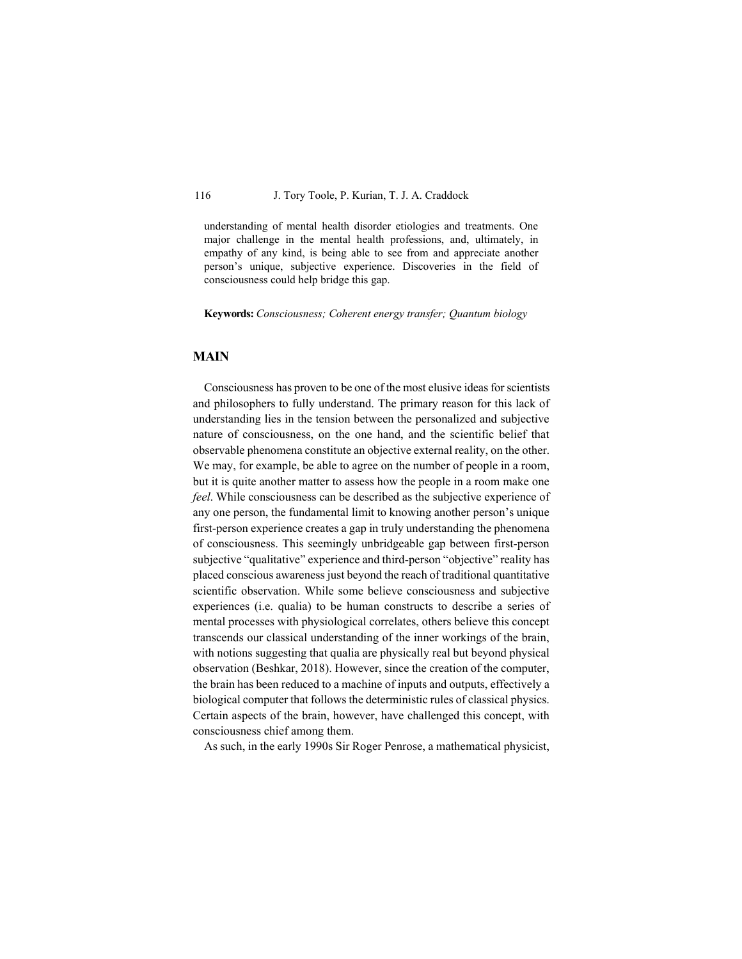understanding of mental health disorder etiologies and treatments. One major challenge in the mental health professions, and, ultimately, in empathy of any kind, is being able to see from and appreciate another person's unique, subjective experience. Discoveries in the field of consciousness could help bridge this gap.

**Keywords:** *Consciousness; Coherent energy transfer; Quantum biology*

### **MAIN**

Consciousness has proven to be one of the most elusive ideas for scientists and philosophers to fully understand. The primary reason for this lack of understanding lies in the tension between the personalized and subjective nature of consciousness, on the one hand, and the scientific belief that observable phenomena constitute an objective external reality, on the other. We may, for example, be able to agree on the number of people in a room, but it is quite another matter to assess how the people in a room make one *feel*. While consciousness can be described as the subjective experience of any one person, the fundamental limit to knowing another person's unique first-person experience creates a gap in truly understanding the phenomena of consciousness. This seemingly unbridgeable gap between first-person subjective "qualitative" experience and third-person "objective" reality has placed conscious awareness just beyond the reach of traditional quantitative scientific observation. While some believe consciousness and subjective experiences (i.e. qualia) to be human constructs to describe a series of mental processes with physiological correlates, others believe this concept transcends our classical understanding of the inner workings of the brain, with notions suggesting that qualia are physically real but beyond physical observation (Beshkar, 2018). However, since the creation of the computer, the brain has been reduced to a machine of inputs and outputs, effectively a biological computer that follows the deterministic rules of classical physics. Certain aspects of the brain, however, have challenged this concept, with consciousness chief among them.

As such, in the early 1990s Sir Roger Penrose, a mathematical physicist,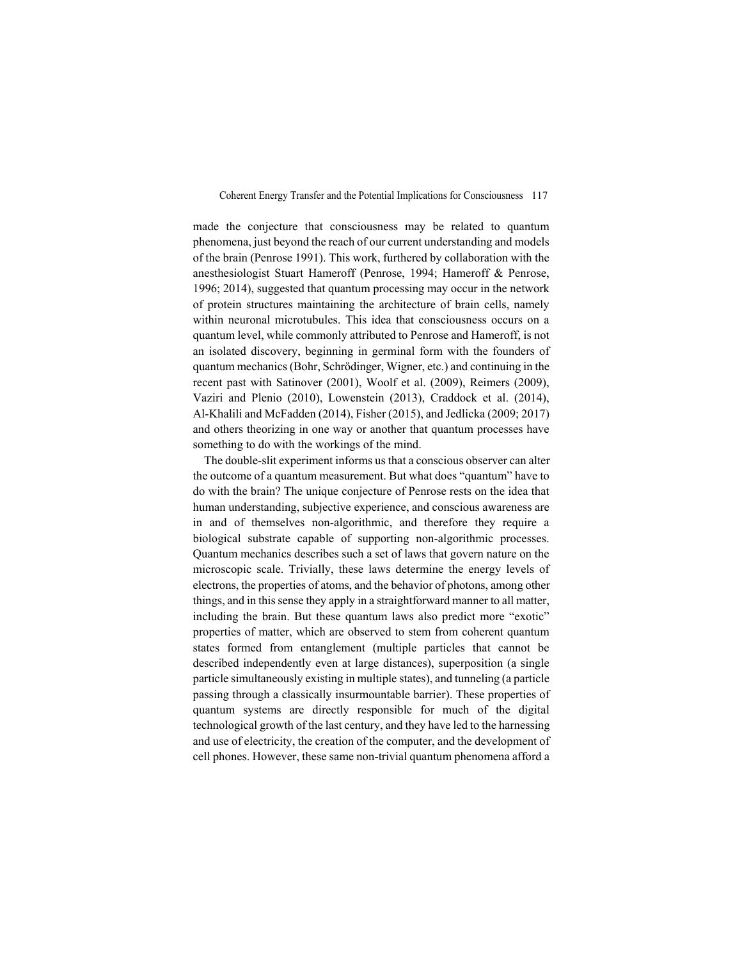made the conjecture that consciousness may be related to quantum phenomena, just beyond the reach of our current understanding and models of the brain (Penrose 1991). This work, furthered by collaboration with the anesthesiologist Stuart Hameroff (Penrose, 1994; Hameroff & Penrose, 1996; 2014), suggested that quantum processing may occur in the network of protein structures maintaining the architecture of brain cells, namely within neuronal microtubules. This idea that consciousness occurs on a quantum level, while commonly attributed to Penrose and Hameroff, is not an isolated discovery, beginning in germinal form with the founders of quantum mechanics (Bohr, Schrödinger, Wigner, etc.) and continuing in the recent past with Satinover (2001), Woolf et al. (2009), Reimers (2009), Vaziri and Plenio (2010), Lowenstein (2013), Craddock et al. (2014), Al-Khalili and McFadden (2014), Fisher (2015), and Jedlicka (2009; 2017) and others theorizing in one way or another that quantum processes have something to do with the workings of the mind.

The double-slit experiment informs us that a conscious observer can alter the outcome of a quantum measurement. But what does "quantum" have to do with the brain? The unique conjecture of Penrose rests on the idea that human understanding, subjective experience, and conscious awareness are in and of themselves non-algorithmic, and therefore they require a biological substrate capable of supporting non-algorithmic processes. Quantum mechanics describes such a set of laws that govern nature on the microscopic scale. Trivially, these laws determine the energy levels of electrons, the properties of atoms, and the behavior of photons, among other things, and in this sense they apply in a straightforward manner to all matter, including the brain. But these quantum laws also predict more "exotic" properties of matter, which are observed to stem from coherent quantum states formed from entanglement (multiple particles that cannot be described independently even at large distances), superposition (a single particle simultaneously existing in multiple states), and tunneling (a particle passing through a classically insurmountable barrier). These properties of quantum systems are directly responsible for much of the digital technological growth of the last century, and they have led to the harnessing and use of electricity, the creation of the computer, and the development of cell phones. However, these same non-trivial quantum phenomena afford a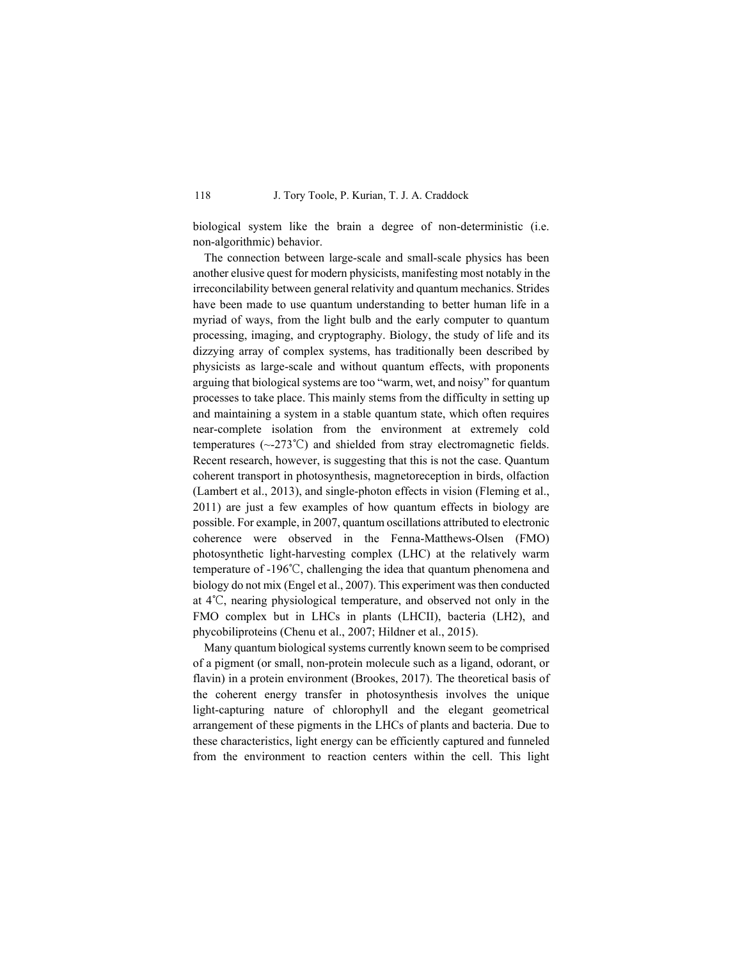biological system like the brain a degree of non-deterministic (i.e. non-algorithmic) behavior.

The connection between large-scale and small-scale physics has been another elusive quest for modern physicists, manifesting most notably in the irreconcilability between general relativity and quantum mechanics. Strides have been made to use quantum understanding to better human life in a myriad of ways, from the light bulb and the early computer to quantum processing, imaging, and cryptography. Biology, the study of life and its dizzying array of complex systems, has traditionally been described by physicists as large-scale and without quantum effects, with proponents arguing that biological systems are too "warm, wet, and noisy" for quantum processes to take place. This mainly stems from the difficulty in setting up and maintaining a system in a stable quantum state, which often requires near-complete isolation from the environment at extremely cold temperatures (~-273℃) and shielded from stray electromagnetic fields. Recent research, however, is suggesting that this is not the case. Quantum coherent transport in photosynthesis, magnetoreception in birds, olfaction (Lambert et al., 2013), and single-photon effects in vision (Fleming et al., 2011) are just a few examples of how quantum effects in biology are possible. For example, in 2007, quantum oscillations attributed to electronic coherence were observed in the Fenna-Matthews-Olsen (FMO) photosynthetic light-harvesting complex (LHC) at the relatively warm temperature of -196℃, challenging the idea that quantum phenomena and biology do not mix (Engel et al., 2007). This experiment was then conducted at 4℃, nearing physiological temperature, and observed not only in the FMO complex but in LHCs in plants (LHCII), bacteria (LH2), and phycobiliproteins (Chenu et al., 2007; Hildner et al., 2015).

Many quantum biological systems currently known seem to be comprised of a pigment (or small, non-protein molecule such as a ligand, odorant, or flavin) in a protein environment (Brookes, 2017). The theoretical basis of the coherent energy transfer in photosynthesis involves the unique light-capturing nature of chlorophyll and the elegant geometrical arrangement of these pigments in the LHCs of plants and bacteria. Due to these characteristics, light energy can be efficiently captured and funneled from the environment to reaction centers within the cell. This light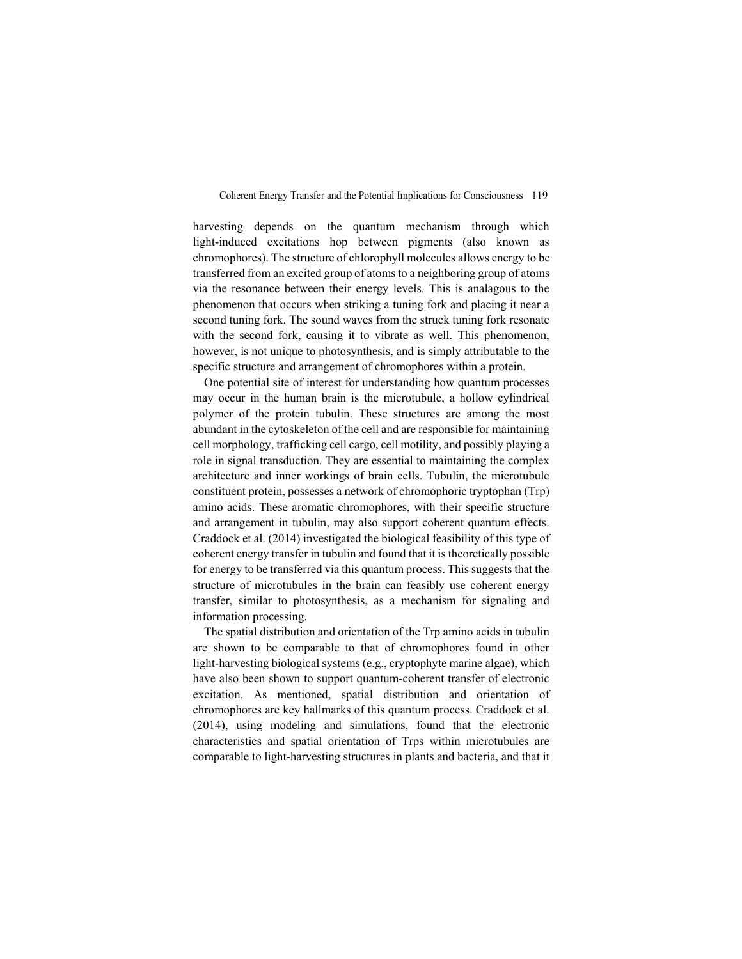harvesting depends on the quantum mechanism through which light-induced excitations hop between pigments (also known as chromophores). The structure of chlorophyll molecules allows energy to be transferred from an excited group of atoms to a neighboring group of atoms via the resonance between their energy levels. This is analagous to the phenomenon that occurs when striking a tuning fork and placing it near a second tuning fork. The sound waves from the struck tuning fork resonate with the second fork, causing it to vibrate as well. This phenomenon, however, is not unique to photosynthesis, and is simply attributable to the specific structure and arrangement of chromophores within a protein.

One potential site of interest for understanding how quantum processes may occur in the human brain is the microtubule, a hollow cylindrical polymer of the protein tubulin. These structures are among the most abundant in the cytoskeleton of the cell and are responsible for maintaining cell morphology, trafficking cell cargo, cell motility, and possibly playing a role in signal transduction. They are essential to maintaining the complex architecture and inner workings of brain cells. Tubulin, the microtubule constituent protein, possesses a network of chromophoric tryptophan (Trp) amino acids. These aromatic chromophores, with their specific structure and arrangement in tubulin, may also support coherent quantum effects. Craddock et al. (2014) investigated the biological feasibility of this type of coherent energy transfer in tubulin and found that it is theoretically possible for energy to be transferred via this quantum process. This suggests that the structure of microtubules in the brain can feasibly use coherent energy transfer, similar to photosynthesis, as a mechanism for signaling and information processing.

The spatial distribution and orientation of the Trp amino acids in tubulin are shown to be comparable to that of chromophores found in other light-harvesting biological systems (e.g., cryptophyte marine algae), which have also been shown to support quantum-coherent transfer of electronic excitation. As mentioned, spatial distribution and orientation of chromophores are key hallmarks of this quantum process. Craddock et al. (2014), using modeling and simulations, found that the electronic characteristics and spatial orientation of Trps within microtubules are comparable to light-harvesting structures in plants and bacteria, and that it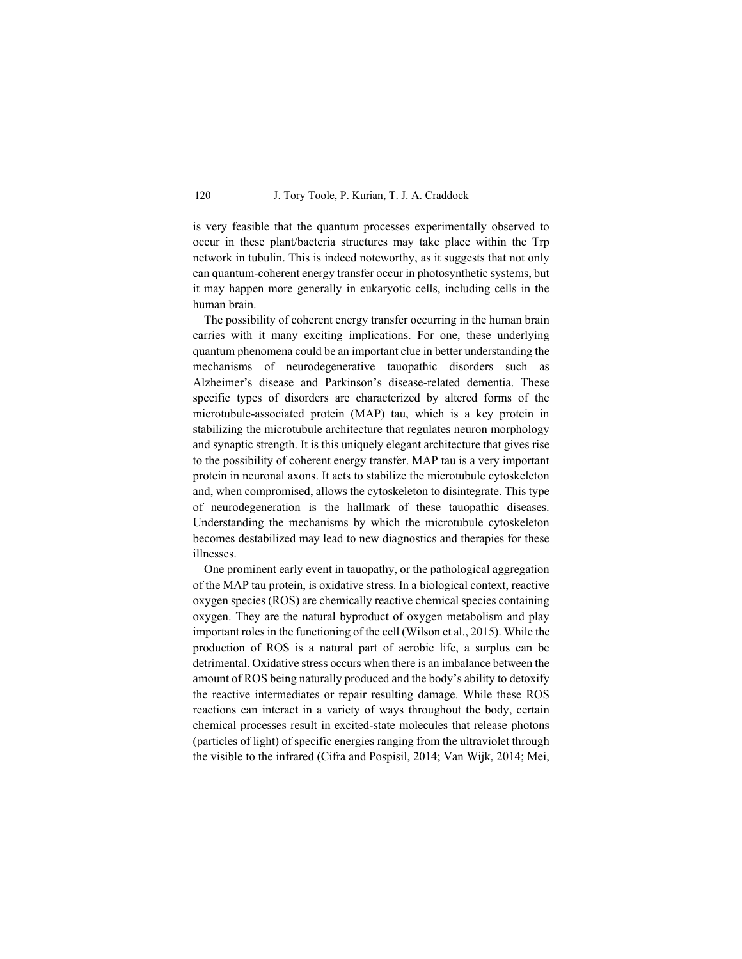is very feasible that the quantum processes experimentally observed to occur in these plant/bacteria structures may take place within the Trp network in tubulin. This is indeed noteworthy, as it suggests that not only can quantum-coherent energy transfer occur in photosynthetic systems, but it may happen more generally in eukaryotic cells, including cells in the human brain.

The possibility of coherent energy transfer occurring in the human brain carries with it many exciting implications. For one, these underlying quantum phenomena could be an important clue in better understanding the mechanisms of neurodegenerative tauopathic disorders such as Alzheimer's disease and Parkinson's disease-related dementia. These specific types of disorders are characterized by altered forms of the microtubule-associated protein (MAP) tau, which is a key protein in stabilizing the microtubule architecture that regulates neuron morphology and synaptic strength. It is this uniquely elegant architecture that gives rise to the possibility of coherent energy transfer. MAP tau is a very important protein in neuronal axons. It acts to stabilize the microtubule cytoskeleton and, when compromised, allows the cytoskeleton to disintegrate. This type of neurodegeneration is the hallmark of these tauopathic diseases. Understanding the mechanisms by which the microtubule cytoskeleton becomes destabilized may lead to new diagnostics and therapies for these illnesses.

One prominent early event in tauopathy, or the pathological aggregation of the MAP tau protein, is oxidative stress. In a biological context, reactive oxygen species (ROS) are chemically reactive chemical species containing oxygen. They are the natural byproduct of oxygen metabolism and play important roles in the functioning of the cell (Wilson et al., 2015). While the production of ROS is a natural part of aerobic life, a surplus can be detrimental. Oxidative stress occurs when there is an imbalance between the amount of ROS being naturally produced and the body's ability to detoxify the reactive intermediates or repair resulting damage. While these ROS reactions can interact in a variety of ways throughout the body, certain chemical processes result in excited-state molecules that release photons (particles of light) of specific energies ranging from the ultraviolet through the visible to the infrared (Cifra and Pospisil, 2014; Van Wijk, 2014; Mei,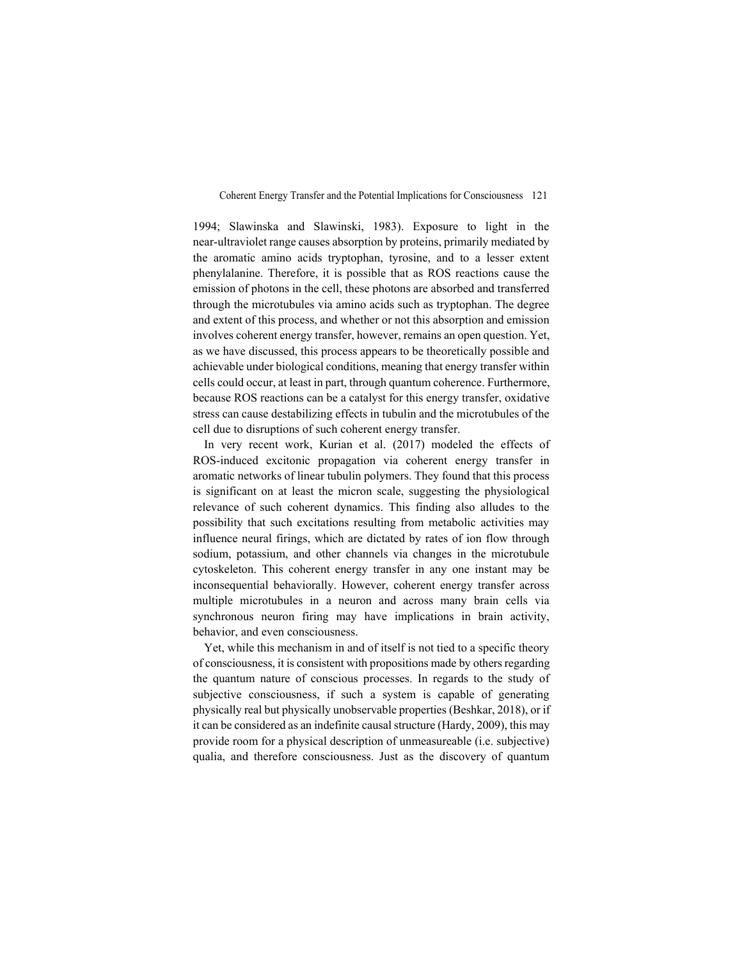1994; Slawinska and Slawinski, 1983). Exposure to light in the near-ultraviolet range causes absorption by proteins, primarily mediated by the aromatic amino acids tryptophan, tyrosine, and to a lesser extent phenylalanine. Therefore, it is possible that as ROS reactions cause the emission of photons in the cell, these photons are absorbed and transferred through the microtubules via amino acids such as tryptophan. The degree and extent of this process, and whether or not this absorption and emission involves coherent energy transfer, however, remains an open question. Yet, as we have discussed, this process appears to be theoretically possible and achievable under biological conditions, meaning that energy transfer within cells could occur, at least in part, through quantum coherence. Furthermore, because ROS reactions can be a catalyst for this energy transfer, oxidative stress can cause destabilizing effects in tubulin and the microtubules of the cell due to disruptions of such coherent energy transfer.

In very recent work, Kurian et al. (2017) modeled the effects of ROS-induced excitonic propagation via coherent energy transfer in aromatic networks of linear tubulin polymers. They found that this process is significant on at least the micron scale, suggesting the physiological relevance of such coherent dynamics. This finding also alludes to the possibility that such excitations resulting from metabolic activities may influence neural firings, which are dictated by rates of ion flow through sodium, potassium, and other channels via changes in the microtubule cytoskeleton. This coherent energy transfer in any one instant may be inconsequential behaviorally. However, coherent energy transfer across multiple microtubules in a neuron and across many brain cells via synchronous neuron firing may have implications in brain activity, behavior, and even consciousness.

Yet, while this mechanism in and of itself is not tied to a specific theory of consciousness, it is consistent with propositions made by others regarding the quantum nature of conscious processes. In regards to the study of subjective consciousness, if such a system is capable of generating physically real but physically unobservable properties (Beshkar, 2018), or if it can be considered as an indefinite causal structure (Hardy, 2009), this may provide room for a physical description of unmeasureable (i.e. subjective) qualia, and therefore consciousness. Just as the discovery of quantum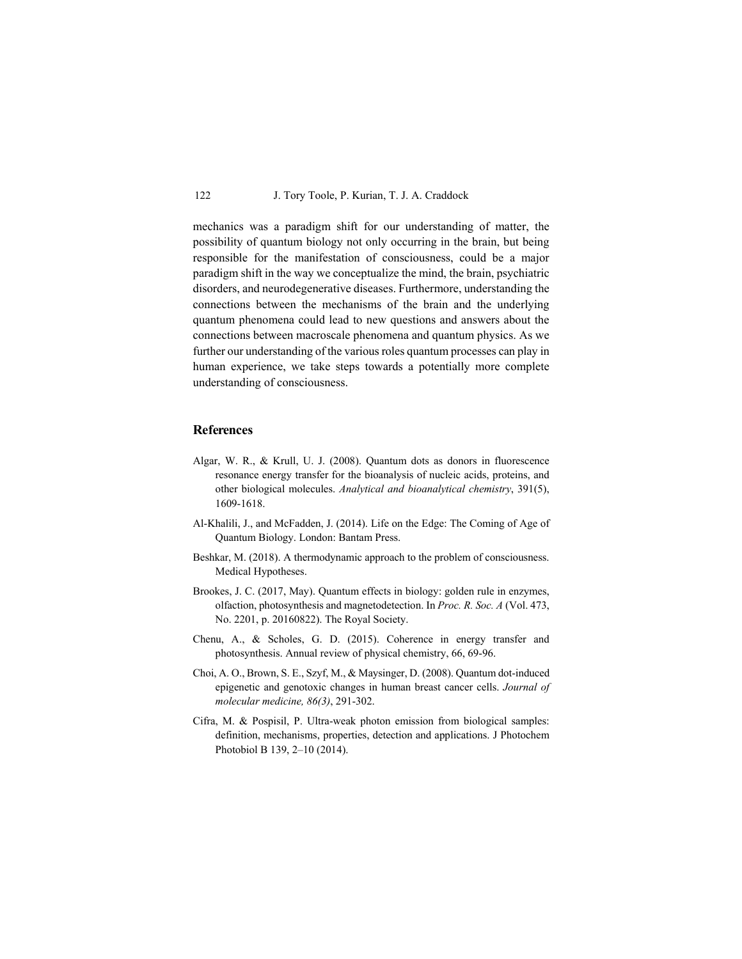mechanics was a paradigm shift for our understanding of matter, the possibility of quantum biology not only occurring in the brain, but being responsible for the manifestation of consciousness, could be a major paradigm shift in the way we conceptualize the mind, the brain, psychiatric disorders, and neurodegenerative diseases. Furthermore, understanding the connections between the mechanisms of the brain and the underlying quantum phenomena could lead to new questions and answers about the connections between macroscale phenomena and quantum physics. As we further our understanding of the various roles quantum processes can play in human experience, we take steps towards a potentially more complete understanding of consciousness.

## **References**

- Algar, W. R., & Krull, U. J. (2008). Quantum dots as donors in fluorescence resonance energy transfer for the bioanalysis of nucleic acids, proteins, and other biological molecules. *Analytical and bioanalytical chemistry*, 391(5), 1609-1618.
- Al-Khalili, J., and McFadden, J. (2014). Life on the Edge: The Coming of Age of Quantum Biology. London: Bantam Press.
- Beshkar, M. (2018). A thermodynamic approach to the problem of consciousness. Medical Hypotheses.
- Brookes, J. C. (2017, May). Quantum effects in biology: golden rule in enzymes, olfaction, photosynthesis and magnetodetection. In *Proc. R. Soc. A* (Vol. 473, No. 2201, p. 20160822). The Royal Society.
- Chenu, A., & Scholes, G. D. (2015). Coherence in energy transfer and photosynthesis. Annual review of physical chemistry, 66, 69-96.
- Choi, A. O., Brown, S. E., Szyf, M., & Maysinger, D. (2008). Quantum dot-induced epigenetic and genotoxic changes in human breast cancer cells. *Journal of molecular medicine, 86(3)*, 291-302.
- Cifra, M. & Pospisil, P. Ultra-weak photon emission from biological samples: definition, mechanisms, properties, detection and applications. J Photochem Photobiol B 139, 2–10 (2014).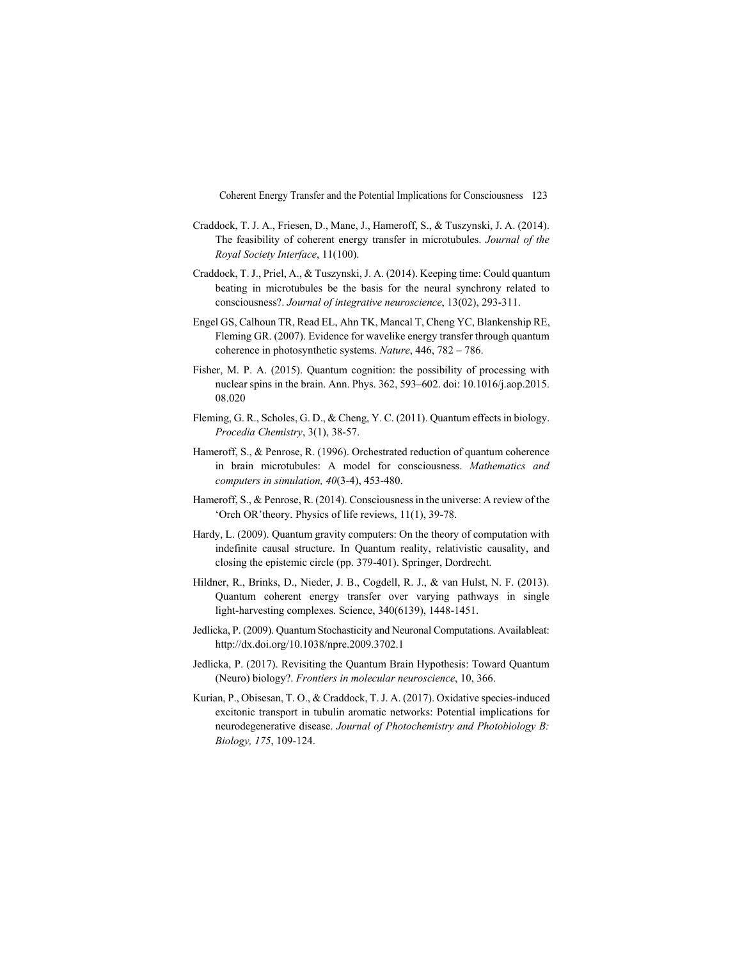- Craddock, T. J. A., Friesen, D., Mane, J., Hameroff, S., & Tuszynski, J. A. (2014). The feasibility of coherent energy transfer in microtubules. *Journal of the Royal Society Interface*, 11(100).
- Craddock, T. J., Priel, A., & Tuszynski, J. A. (2014). Keeping time: Could quantum beating in microtubules be the basis for the neural synchrony related to consciousness?. *Journal of integrative neuroscience*, 13(02), 293-311.
- Engel GS, Calhoun TR, Read EL, Ahn TK, Mancal T, Cheng YC, Blankenship RE, Fleming GR. (2007). Evidence for wavelike energy transfer through quantum coherence in photosynthetic systems. *Nature*, 446, 782 – 786.
- Fisher, M. P. A. (2015). Quantum cognition: the possibility of processing with nuclear spins in the brain. Ann. Phys. 362, 593–602. doi: 10.1016/j.aop.2015. 08.020
- Fleming, G. R., Scholes, G. D., & Cheng, Y. C. (2011). Quantum effects in biology. *Procedia Chemistry*, 3(1), 38-57.
- Hameroff, S., & Penrose, R. (1996). Orchestrated reduction of quantum coherence in brain microtubules: A model for consciousness. *Mathematics and computers in simulation, 40*(3-4), 453-480.
- Hameroff, S., & Penrose, R. (2014). Consciousness in the universe: A review of the 'Orch OR'theory. Physics of life reviews, 11(1), 39-78.
- Hardy, L. (2009). Quantum gravity computers: On the theory of computation with indefinite causal structure. In Quantum reality, relativistic causality, and closing the epistemic circle (pp. 379-401). Springer, Dordrecht.
- Hildner, R., Brinks, D., Nieder, J. B., Cogdell, R. J., & van Hulst, N. F. (2013). Quantum coherent energy transfer over varying pathways in single light-harvesting complexes. Science, 340(6139), 1448-1451.
- Jedlicka, P. (2009). Quantum Stochasticity and Neuronal Computations. Availableat: http://dx.doi.org/10.1038/npre.2009.3702.1
- Jedlicka, P. (2017). Revisiting the Quantum Brain Hypothesis: Toward Quantum (Neuro) biology?. *Frontiers in molecular neuroscience*, 10, 366.
- Kurian, P., Obisesan, T. O., & Craddock, T. J. A. (2017). Oxidative species-induced excitonic transport in tubulin aromatic networks: Potential implications for neurodegenerative disease. *Journal of Photochemistry and Photobiology B: Biology, 175*, 109-124.